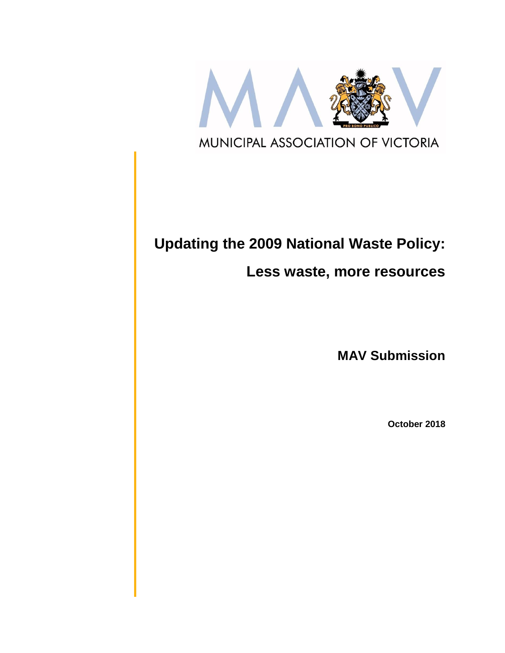

# **Updating the 2009 National Waste Policy:**

## **Less waste, more resources**

**MAV Submission**

**October 2018**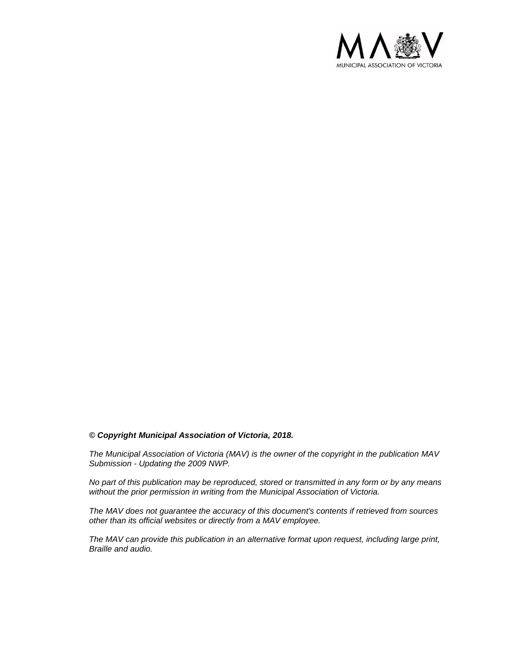

#### *© Copyright Municipal Association of Victoria, 2018.*

*The Municipal Association of Victoria (MAV) is the owner of the copyright in the publication MAV Submission - Updating the 2009 NWP.* 

*No part of this publication may be reproduced, stored or transmitted in any form or by any means without the prior permission in writing from the Municipal Association of Victoria.* 

*The MAV does not guarantee the accuracy of this document's contents if retrieved from sources other than its official websites or directly from a MAV employee.*

*The MAV can provide this publication in an alternative format upon request, including large print, Braille and audio.*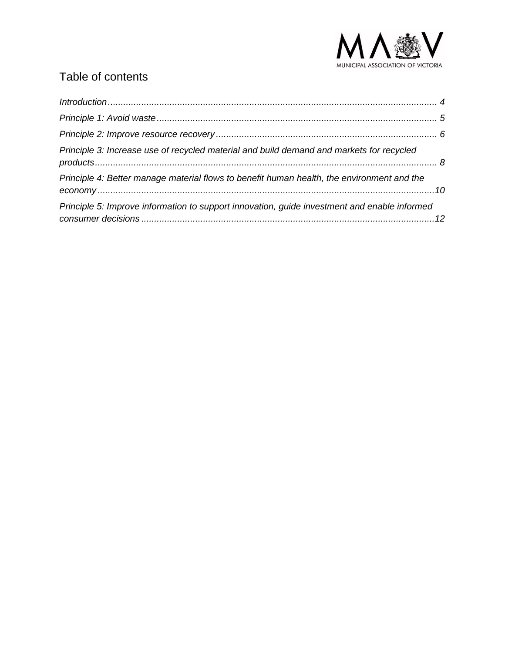

#### Table of contents

| Principle 3: Increase use of recycled material and build demand and markets for recycled     |  |
|----------------------------------------------------------------------------------------------|--|
| Principle 4: Better manage material flows to benefit human health, the environment and the   |  |
| Principle 5: Improve information to support innovation, guide investment and enable informed |  |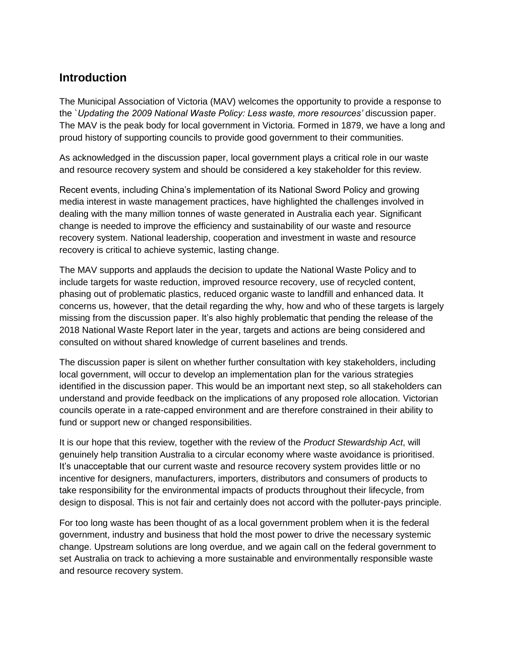#### <span id="page-3-0"></span>**Introduction**

The Municipal Association of Victoria (MAV) welcomes the opportunity to provide a response to the `*Updating the 2009 National Waste Policy: Less waste, more resources'* discussion paper. The MAV is the peak body for local government in Victoria. Formed in 1879, we have a long and proud history of supporting councils to provide good government to their communities.

As acknowledged in the discussion paper, local government plays a critical role in our waste and resource recovery system and should be considered a key stakeholder for this review.

Recent events, including China's implementation of its National Sword Policy and growing media interest in waste management practices, have highlighted the challenges involved in dealing with the many million tonnes of waste generated in Australia each year. Significant change is needed to improve the efficiency and sustainability of our waste and resource recovery system. National leadership, cooperation and investment in waste and resource recovery is critical to achieve systemic, lasting change.

The MAV supports and applauds the decision to update the National Waste Policy and to include targets for waste reduction, improved resource recovery, use of recycled content, phasing out of problematic plastics, reduced organic waste to landfill and enhanced data. It concerns us, however, that the detail regarding the why, how and who of these targets is largely missing from the discussion paper. It's also highly problematic that pending the release of the 2018 National Waste Report later in the year, targets and actions are being considered and consulted on without shared knowledge of current baselines and trends.

The discussion paper is silent on whether further consultation with key stakeholders, including local government, will occur to develop an implementation plan for the various strategies identified in the discussion paper. This would be an important next step, so all stakeholders can understand and provide feedback on the implications of any proposed role allocation. Victorian councils operate in a rate-capped environment and are therefore constrained in their ability to fund or support new or changed responsibilities.

It is our hope that this review, together with the review of the *Product Stewardship Act*, will genuinely help transition Australia to a circular economy where waste avoidance is prioritised. It's unacceptable that our current waste and resource recovery system provides little or no incentive for designers, manufacturers, importers, distributors and consumers of products to take responsibility for the environmental impacts of products throughout their lifecycle, from design to disposal. This is not fair and certainly does not accord with the polluter-pays principle.

For too long waste has been thought of as a local government problem when it is the federal government, industry and business that hold the most power to drive the necessary systemic change. Upstream solutions are long overdue, and we again call on the federal government to set Australia on track to achieving a more sustainable and environmentally responsible waste and resource recovery system.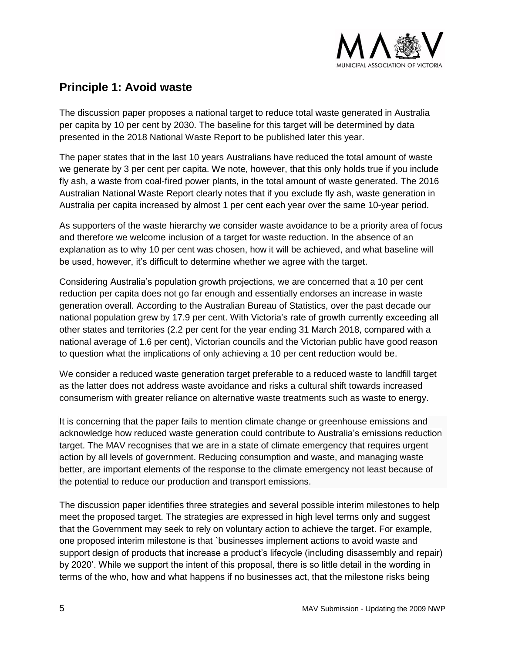

#### <span id="page-4-0"></span>**Principle 1: Avoid waste**

The discussion paper proposes a national target to reduce total waste generated in Australia per capita by 10 per cent by 2030. The baseline for this target will be determined by data presented in the 2018 National Waste Report to be published later this year.

The paper states that in the last 10 years Australians have reduced the total amount of waste we generate by 3 per cent per capita. We note, however, that this only holds true if you include fly ash, a waste from coal-fired power plants, in the total amount of waste generated. The 2016 Australian National Waste Report clearly notes that if you exclude fly ash, waste generation in Australia per capita increased by almost 1 per cent each year over the same 10-year period.

As supporters of the waste hierarchy we consider waste avoidance to be a priority area of focus and therefore we welcome inclusion of a target for waste reduction. In the absence of an explanation as to why 10 per cent was chosen, how it will be achieved, and what baseline will be used, however, it's difficult to determine whether we agree with the target.

Considering Australia's population growth projections, we are concerned that a 10 per cent reduction per capita does not go far enough and essentially endorses an increase in waste generation overall. According to the Australian Bureau of Statistics, over the past decade our national population grew by 17.9 per cent. With Victoria's rate of growth currently exceeding all other states and territories (2.2 per cent for the year ending 31 March 2018, compared with a national average of 1.6 per cent), Victorian councils and the Victorian public have good reason to question what the implications of only achieving a 10 per cent reduction would be.

We consider a reduced waste generation target preferable to a reduced waste to landfill target as the latter does not address waste avoidance and risks a cultural shift towards increased consumerism with greater reliance on alternative waste treatments such as waste to energy.

It is concerning that the paper fails to mention climate change or greenhouse emissions and acknowledge how reduced waste generation could contribute to Australia's emissions reduction target. The MAV recognises that we are in a state of climate emergency that requires urgent action by all levels of government. Reducing consumption and waste, and managing waste better, are important elements of the response to the climate emergency not least because of the potential to reduce our production and transport emissions.

The discussion paper identifies three strategies and several possible interim milestones to help meet the proposed target. The strategies are expressed in high level terms only and suggest that the Government may seek to rely on voluntary action to achieve the target. For example, one proposed interim milestone is that `businesses implement actions to avoid waste and support design of products that increase a product's lifecycle (including disassembly and repair) by 2020'. While we support the intent of this proposal, there is so little detail in the wording in terms of the who, how and what happens if no businesses act, that the milestone risks being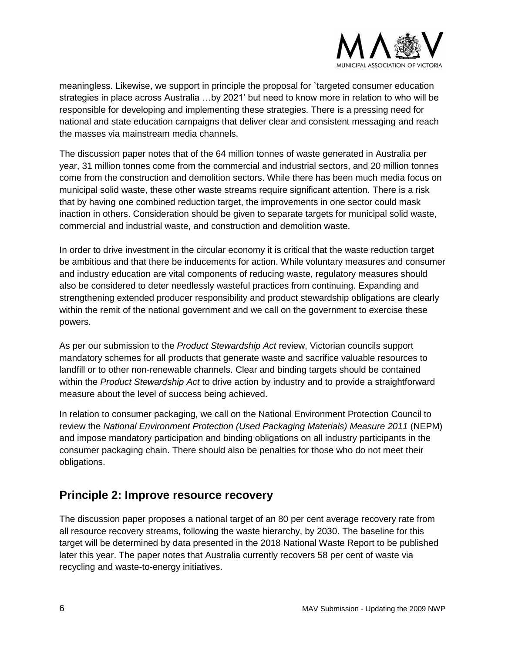

meaningless. Likewise, we support in principle the proposal for `targeted consumer education strategies in place across Australia …by 2021' but need to know more in relation to who will be responsible for developing and implementing these strategies. There is a pressing need for national and state education campaigns that deliver clear and consistent messaging and reach the masses via mainstream media channels.

The discussion paper notes that of the 64 million tonnes of waste generated in Australia per year, 31 million tonnes come from the commercial and industrial sectors, and 20 million tonnes come from the construction and demolition sectors. While there has been much media focus on municipal solid waste, these other waste streams require significant attention. There is a risk that by having one combined reduction target, the improvements in one sector could mask inaction in others. Consideration should be given to separate targets for municipal solid waste, commercial and industrial waste, and construction and demolition waste.

In order to drive investment in the circular economy it is critical that the waste reduction target be ambitious and that there be inducements for action. While voluntary measures and consumer and industry education are vital components of reducing waste, regulatory measures should also be considered to deter needlessly wasteful practices from continuing. Expanding and strengthening extended producer responsibility and product stewardship obligations are clearly within the remit of the national government and we call on the government to exercise these powers.

As per our submission to the *Product Stewardship Act* review, Victorian councils support mandatory schemes for all products that generate waste and sacrifice valuable resources to landfill or to other non-renewable channels. Clear and binding targets should be contained within the *Product Stewardship Act* to drive action by industry and to provide a straightforward measure about the level of success being achieved.

In relation to consumer packaging, we call on the National Environment Protection Council to review the *National Environment Protection (Used Packaging Materials) Measure 2011* (NEPM) and impose mandatory participation and binding obligations on all industry participants in the consumer packaging chain. There should also be penalties for those who do not meet their obligations.

#### <span id="page-5-0"></span>**Principle 2: Improve resource recovery**

The discussion paper proposes a national target of an 80 per cent average recovery rate from all resource recovery streams, following the waste hierarchy, by 2030. The baseline for this target will be determined by data presented in the 2018 National Waste Report to be published later this year. The paper notes that Australia currently recovers 58 per cent of waste via recycling and waste-to-energy initiatives.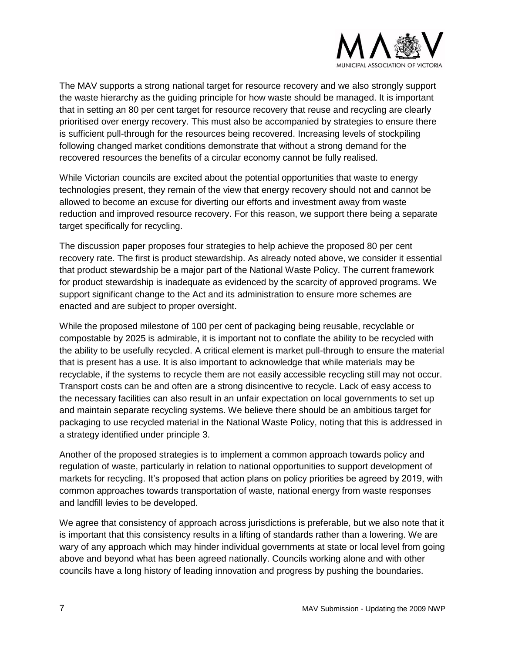

The MAV supports a strong national target for resource recovery and we also strongly support the waste hierarchy as the guiding principle for how waste should be managed. It is important that in setting an 80 per cent target for resource recovery that reuse and recycling are clearly prioritised over energy recovery. This must also be accompanied by strategies to ensure there is sufficient pull-through for the resources being recovered. Increasing levels of stockpiling following changed market conditions demonstrate that without a strong demand for the recovered resources the benefits of a circular economy cannot be fully realised.

While Victorian councils are excited about the potential opportunities that waste to energy technologies present, they remain of the view that energy recovery should not and cannot be allowed to become an excuse for diverting our efforts and investment away from waste reduction and improved resource recovery. For this reason, we support there being a separate target specifically for recycling.

The discussion paper proposes four strategies to help achieve the proposed 80 per cent recovery rate. The first is product stewardship. As already noted above, we consider it essential that product stewardship be a major part of the National Waste Policy. The current framework for product stewardship is inadequate as evidenced by the scarcity of approved programs. We support significant change to the Act and its administration to ensure more schemes are enacted and are subject to proper oversight.

While the proposed milestone of 100 per cent of packaging being reusable, recyclable or compostable by 2025 is admirable, it is important not to conflate the ability to be recycled with the ability to be usefully recycled. A critical element is market pull-through to ensure the material that is present has a use. It is also important to acknowledge that while materials may be recyclable, if the systems to recycle them are not easily accessible recycling still may not occur. Transport costs can be and often are a strong disincentive to recycle. Lack of easy access to the necessary facilities can also result in an unfair expectation on local governments to set up and maintain separate recycling systems. We believe there should be an ambitious target for packaging to use recycled material in the National Waste Policy, noting that this is addressed in a strategy identified under principle 3.

Another of the proposed strategies is to implement a common approach towards policy and regulation of waste, particularly in relation to national opportunities to support development of markets for recycling. It's proposed that action plans on policy priorities be agreed by 2019, with common approaches towards transportation of waste, national energy from waste responses and landfill levies to be developed.

We agree that consistency of approach across jurisdictions is preferable, but we also note that it is important that this consistency results in a lifting of standards rather than a lowering. We are wary of any approach which may hinder individual governments at state or local level from going above and beyond what has been agreed nationally. Councils working alone and with other councils have a long history of leading innovation and progress by pushing the boundaries.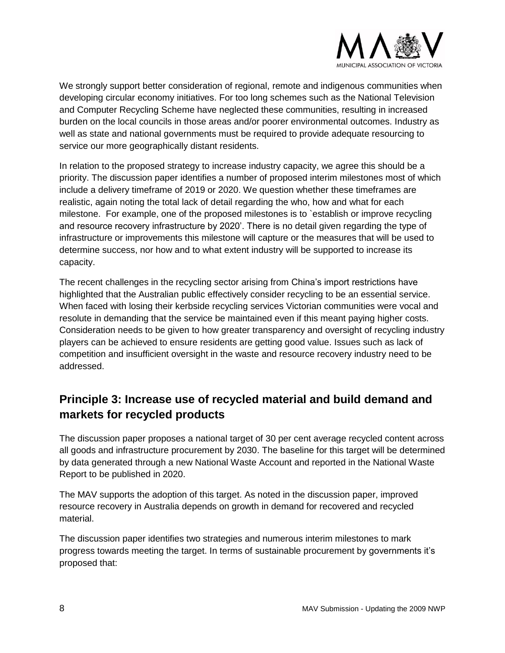

We strongly support better consideration of regional, remote and indigenous communities when developing circular economy initiatives. For too long schemes such as the National Television and Computer Recycling Scheme have neglected these communities, resulting in increased burden on the local councils in those areas and/or poorer environmental outcomes. Industry as well as state and national governments must be required to provide adequate resourcing to service our more geographically distant residents.

In relation to the proposed strategy to increase industry capacity, we agree this should be a priority. The discussion paper identifies a number of proposed interim milestones most of which include a delivery timeframe of 2019 or 2020. We question whether these timeframes are realistic, again noting the total lack of detail regarding the who, how and what for each milestone. For example, one of the proposed milestones is to `establish or improve recycling and resource recovery infrastructure by 2020'. There is no detail given regarding the type of infrastructure or improvements this milestone will capture or the measures that will be used to determine success, nor how and to what extent industry will be supported to increase its capacity.

The recent challenges in the recycling sector arising from China's import restrictions have highlighted that the Australian public effectively consider recycling to be an essential service. When faced with losing their kerbside recycling services Victorian communities were vocal and resolute in demanding that the service be maintained even if this meant paying higher costs. Consideration needs to be given to how greater transparency and oversight of recycling industry players can be achieved to ensure residents are getting good value. Issues such as lack of competition and insufficient oversight in the waste and resource recovery industry need to be addressed.

#### <span id="page-7-0"></span>**Principle 3: Increase use of recycled material and build demand and markets for recycled products**

The discussion paper proposes a national target of 30 per cent average recycled content across all goods and infrastructure procurement by 2030. The baseline for this target will be determined by data generated through a new National Waste Account and reported in the National Waste Report to be published in 2020.

The MAV supports the adoption of this target. As noted in the discussion paper, improved resource recovery in Australia depends on growth in demand for recovered and recycled material.

The discussion paper identifies two strategies and numerous interim milestones to mark progress towards meeting the target. In terms of sustainable procurement by governments it's proposed that: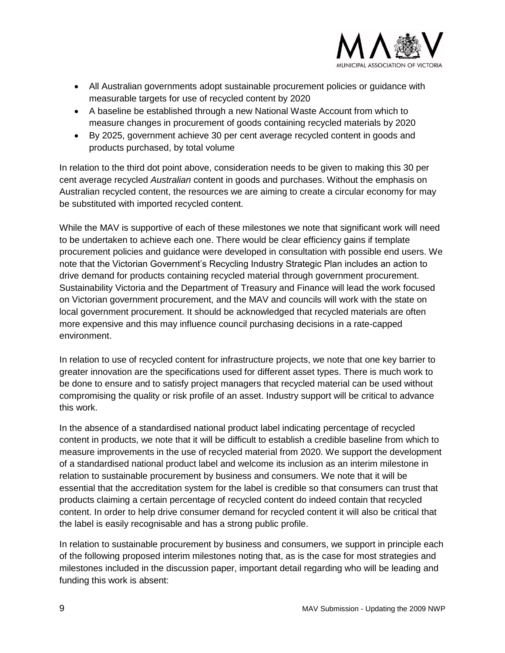

- All Australian governments adopt sustainable procurement policies or guidance with measurable targets for use of recycled content by 2020
- A baseline be established through a new National Waste Account from which to measure changes in procurement of goods containing recycled materials by 2020
- By 2025, government achieve 30 per cent average recycled content in goods and products purchased, by total volume

In relation to the third dot point above, consideration needs to be given to making this 30 per cent average recycled *Australian* content in goods and purchases. Without the emphasis on Australian recycled content, the resources we are aiming to create a circular economy for may be substituted with imported recycled content.

While the MAV is supportive of each of these milestones we note that significant work will need to be undertaken to achieve each one. There would be clear efficiency gains if template procurement policies and guidance were developed in consultation with possible end users. We note that the Victorian Government's Recycling Industry Strategic Plan includes an action to drive demand for products containing recycled material through government procurement. Sustainability Victoria and the Department of Treasury and Finance will lead the work focused on Victorian government procurement, and the MAV and councils will work with the state on local government procurement. It should be acknowledged that recycled materials are often more expensive and this may influence council purchasing decisions in a rate-capped environment.

In relation to use of recycled content for infrastructure projects, we note that one key barrier to greater innovation are the specifications used for different asset types. There is much work to be done to ensure and to satisfy project managers that recycled material can be used without compromising the quality or risk profile of an asset. Industry support will be critical to advance this work.

In the absence of a standardised national product label indicating percentage of recycled content in products, we note that it will be difficult to establish a credible baseline from which to measure improvements in the use of recycled material from 2020. We support the development of a standardised national product label and welcome its inclusion as an interim milestone in relation to sustainable procurement by business and consumers. We note that it will be essential that the accreditation system for the label is credible so that consumers can trust that products claiming a certain percentage of recycled content do indeed contain that recycled content. In order to help drive consumer demand for recycled content it will also be critical that the label is easily recognisable and has a strong public profile.

In relation to sustainable procurement by business and consumers, we support in principle each of the following proposed interim milestones noting that, as is the case for most strategies and milestones included in the discussion paper, important detail regarding who will be leading and funding this work is absent: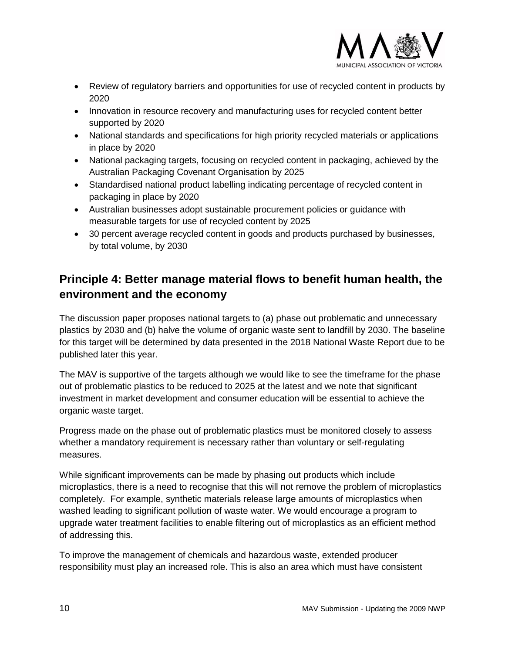

- Review of regulatory barriers and opportunities for use of recycled content in products by 2020
- Innovation in resource recovery and manufacturing uses for recycled content better supported by 2020
- National standards and specifications for high priority recycled materials or applications in place by 2020
- National packaging targets, focusing on recycled content in packaging, achieved by the Australian Packaging Covenant Organisation by 2025
- Standardised national product labelling indicating percentage of recycled content in packaging in place by 2020
- Australian businesses adopt sustainable procurement policies or guidance with measurable targets for use of recycled content by 2025
- 30 percent average recycled content in goods and products purchased by businesses, by total volume, by 2030

### <span id="page-9-0"></span>**Principle 4: Better manage material flows to benefit human health, the environment and the economy**

The discussion paper proposes national targets to (a) phase out problematic and unnecessary plastics by 2030 and (b) halve the volume of organic waste sent to landfill by 2030. The baseline for this target will be determined by data presented in the 2018 National Waste Report due to be published later this year.

The MAV is supportive of the targets although we would like to see the timeframe for the phase out of problematic plastics to be reduced to 2025 at the latest and we note that significant investment in market development and consumer education will be essential to achieve the organic waste target.

Progress made on the phase out of problematic plastics must be monitored closely to assess whether a mandatory requirement is necessary rather than voluntary or self-regulating measures.

While significant improvements can be made by phasing out products which include microplastics, there is a need to recognise that this will not remove the problem of microplastics completely. For example, synthetic materials release large amounts of microplastics when washed leading to significant pollution of waste water. We would encourage a program to upgrade water treatment facilities to enable filtering out of microplastics as an efficient method of addressing this.

To improve the management of chemicals and hazardous waste, extended producer responsibility must play an increased role. This is also an area which must have consistent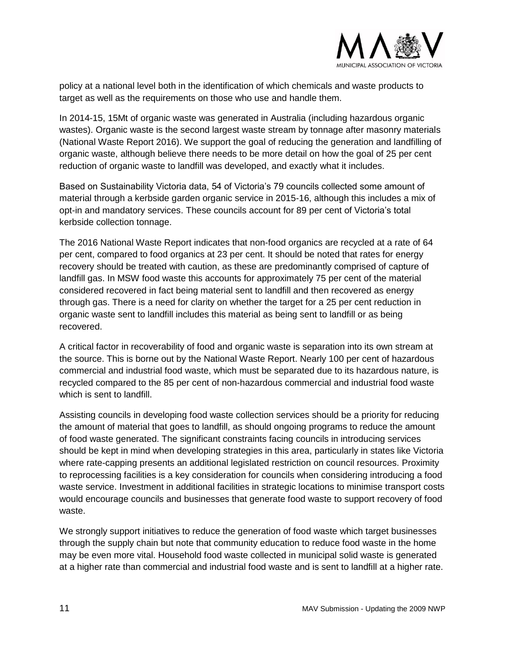

policy at a national level both in the identification of which chemicals and waste products to target as well as the requirements on those who use and handle them.

In 2014-15, 15Mt of organic waste was generated in Australia (including hazardous organic wastes). Organic waste is the second largest waste stream by tonnage after masonry materials (National Waste Report 2016). We support the goal of reducing the generation and landfilling of organic waste, although believe there needs to be more detail on how the goal of 25 per cent reduction of organic waste to landfill was developed, and exactly what it includes.

Based on Sustainability Victoria data, 54 of Victoria's 79 councils collected some amount of material through a kerbside garden organic service in 2015-16, although this includes a mix of opt-in and mandatory services. These councils account for 89 per cent of Victoria's total kerbside collection tonnage.

The 2016 National Waste Report indicates that non-food organics are recycled at a rate of 64 per cent, compared to food organics at 23 per cent. It should be noted that rates for energy recovery should be treated with caution, as these are predominantly comprised of capture of landfill gas. In MSW food waste this accounts for approximately 75 per cent of the material considered recovered in fact being material sent to landfill and then recovered as energy through gas. There is a need for clarity on whether the target for a 25 per cent reduction in organic waste sent to landfill includes this material as being sent to landfill or as being recovered.

A critical factor in recoverability of food and organic waste is separation into its own stream at the source. This is borne out by the National Waste Report. Nearly 100 per cent of hazardous commercial and industrial food waste, which must be separated due to its hazardous nature, is recycled compared to the 85 per cent of non-hazardous commercial and industrial food waste which is sent to landfill.

Assisting councils in developing food waste collection services should be a priority for reducing the amount of material that goes to landfill, as should ongoing programs to reduce the amount of food waste generated. The significant constraints facing councils in introducing services should be kept in mind when developing strategies in this area, particularly in states like Victoria where rate-capping presents an additional legislated restriction on council resources. Proximity to reprocessing facilities is a key consideration for councils when considering introducing a food waste service. Investment in additional facilities in strategic locations to minimise transport costs would encourage councils and businesses that generate food waste to support recovery of food waste.

We strongly support initiatives to reduce the generation of food waste which target businesses through the supply chain but note that community education to reduce food waste in the home may be even more vital. Household food waste collected in municipal solid waste is generated at a higher rate than commercial and industrial food waste and is sent to landfill at a higher rate.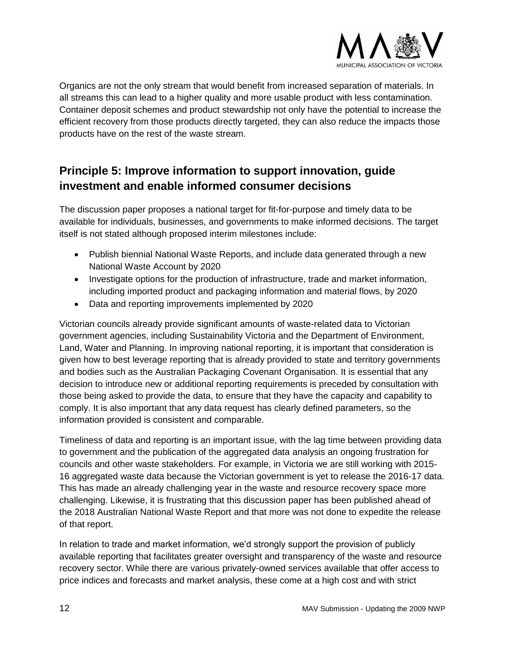

Organics are not the only stream that would benefit from increased separation of materials. In all streams this can lead to a higher quality and more usable product with less contamination. Container deposit schemes and product stewardship not only have the potential to increase the efficient recovery from those products directly targeted, they can also reduce the impacts those products have on the rest of the waste stream.

### <span id="page-11-0"></span>**Principle 5: Improve information to support innovation, guide investment and enable informed consumer decisions**

The discussion paper proposes a national target for fit-for-purpose and timely data to be available for individuals, businesses, and governments to make informed decisions. The target itself is not stated although proposed interim milestones include:

- Publish biennial National Waste Reports, and include data generated through a new National Waste Account by 2020
- Investigate options for the production of infrastructure, trade and market information, including imported product and packaging information and material flows, by 2020
- Data and reporting improvements implemented by 2020

Victorian councils already provide significant amounts of waste-related data to Victorian government agencies, including Sustainability Victoria and the Department of Environment, Land, Water and Planning. In improving national reporting, it is important that consideration is given how to best leverage reporting that is already provided to state and territory governments and bodies such as the Australian Packaging Covenant Organisation. It is essential that any decision to introduce new or additional reporting requirements is preceded by consultation with those being asked to provide the data, to ensure that they have the capacity and capability to comply. It is also important that any data request has clearly defined parameters, so the information provided is consistent and comparable.

Timeliness of data and reporting is an important issue, with the lag time between providing data to government and the publication of the aggregated data analysis an ongoing frustration for councils and other waste stakeholders. For example, in Victoria we are still working with 2015- 16 aggregated waste data because the Victorian government is yet to release the 2016-17 data. This has made an already challenging year in the waste and resource recovery space more challenging. Likewise, it is frustrating that this discussion paper has been published ahead of the 2018 Australian National Waste Report and that more was not done to expedite the release of that report.

In relation to trade and market information, we'd strongly support the provision of publicly available reporting that facilitates greater oversight and transparency of the waste and resource recovery sector. While there are various privately-owned services available that offer access to price indices and forecasts and market analysis, these come at a high cost and with strict